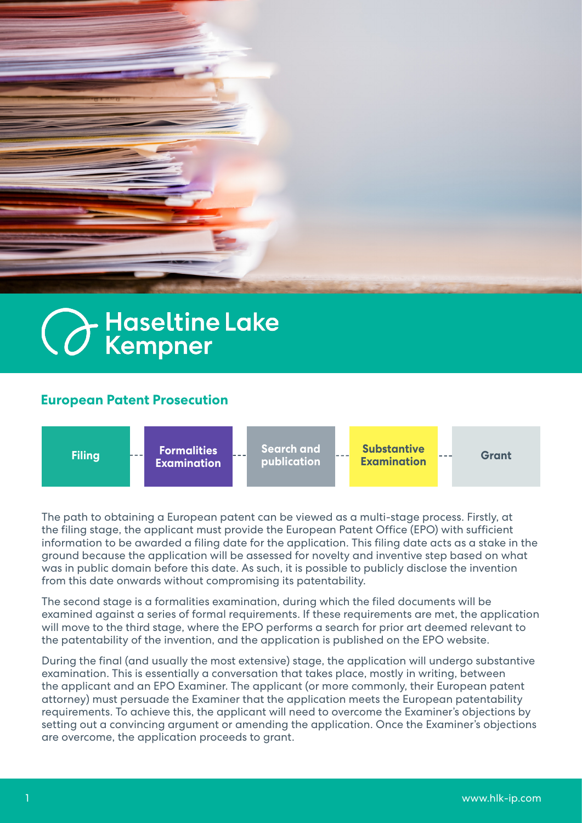

## **C** Haseltine Lake

## **European Patent Prosecution**



The path to obtaining a European patent can be viewed as a multi-stage process. Firstly, at the filing stage, the applicant must provide the European Patent Office (EPO) with sufficient information to be awarded a filing date for the application. This filing date acts as a stake in the ground because the application will be assessed for novelty and inventive step based on what was in public domain before this date. As such, it is possible to publicly disclose the invention from this date onwards without compromising its patentability.

The second stage is a formalities examination, during which the filed documents will be examined against a series of formal requirements. If these requirements are met, the application will move to the third stage, where the EPO performs a search for prior art deemed relevant to the patentability of the invention, and the application is published on the EPO website.

During the final (and usually the most extensive) stage, the application will undergo substantive examination. This is essentially a conversation that takes place, mostly in writing, between the applicant and an EPO Examiner. The applicant (or more commonly, their European patent attorney) must persuade the Examiner that the application meets the European patentability requirements. To achieve this, the applicant will need to overcome the Examiner's objections by setting out a convincing argument or amending the application. Once the Examiner's objections are overcome, the application proceeds to grant.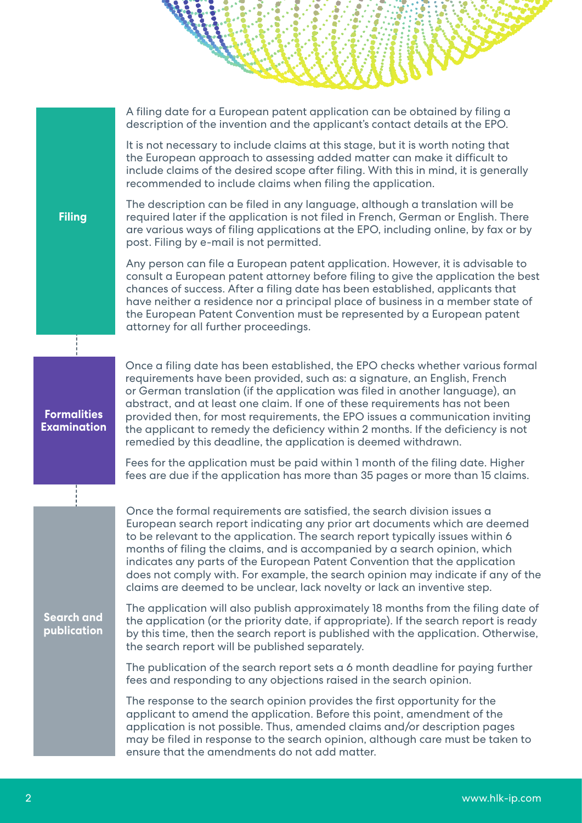A filing date for a European patent application can be obtained by filing a description of the invention and the applicant's contact details at the EPO.

It is not necessary to include claims at this stage, but it is worth noting that the European approach to assessing added matter can make it difficult to include claims of the desired scope after filing. With this in mind, it is generally recommended to include claims when filing the application.

**Filing**

**Formalities Examination** The description can be filed in any language, although a translation will be required later if the application is not filed in French, German or English. There are various ways of filing applications at the EPO, including online, by fax or by post. Filing by e-mail is not permitted.

Any person can file a European patent application. However, it is advisable to consult a European patent attorney before filing to give the application the best chances of success. After a filing date has been established, applicants that have neither a residence nor a principal place of business in a member state of the European Patent Convention must be represented by a European patent attorney for all further proceedings.

Once a filing date has been established, the EPO checks whether various formal requirements have been provided, such as: a signature, an English, French or German translation (if the application was filed in another language), an abstract, and at least one claim. If one of these requirements has not been provided then, for most requirements, the EPO issues a communication inviting the applicant to remedy the deficiency within 2 months. If the deficiency is not remedied by this deadline, the application is deemed withdrawn.

Fees for the application must be paid within 1 month of the filing date. Higher fees are due if the application has more than 35 pages or more than 15 claims.

Once the formal requirements are satisfied, the search division issues a European search report indicating any prior art documents which are deemed to be relevant to the application. The search report typically issues within 6 months of filing the claims, and is accompanied by a search opinion, which indicates any parts of the European Patent Convention that the application does not comply with. For example, the search opinion may indicate if any of the claims are deemed to be unclear, lack novelty or lack an inventive step.

**Search and publication** The application will also publish approximately 18 months from the filing date of the application (or the priority date, if appropriate). If the search report is ready by this time, then the search report is published with the application. Otherwise, the search report will be published separately.

The publication of the search report sets a 6 month deadline for paying further fees and responding to any objections raised in the search opinion.

The response to the search opinion provides the first opportunity for the applicant to amend the application. Before this point, amendment of the application is not possible. Thus, amended claims and/or description pages may be filed in response to the search opinion, although care must be taken to ensure that the amendments do not add matter.